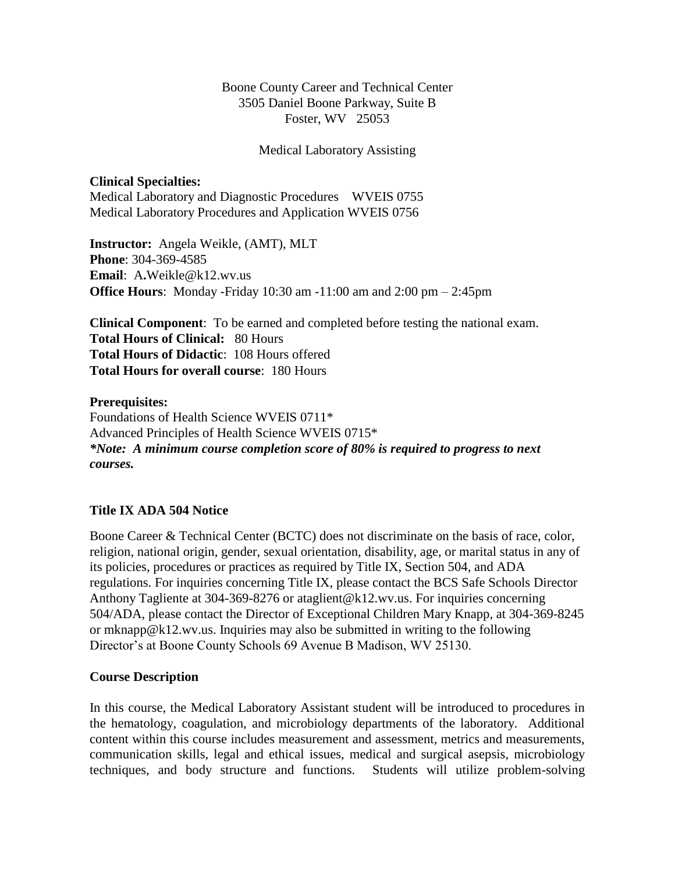### Boone County Career and Technical Center 3505 Daniel Boone Parkway, Suite B Foster, WV 25053

Medical Laboratory Assisting

**Clinical Specialties:** Medical Laboratory and Diagnostic Procedures WVEIS 0755 Medical Laboratory Procedures and Application WVEIS 0756

**Instructor:** Angela Weikle, (AMT), MLT **Phone**: 304-369-4585 **Email**: A**.**Weikle@k12.wv.us **Office Hours**: Monday -Friday 10:30 am -11:00 am and 2:00 pm – 2:45pm

**Clinical Component**: To be earned and completed before testing the national exam. **Total Hours of Clinical:** 80 Hours **Total Hours of Didactic**: 108 Hours offered **Total Hours for overall course**: 180 Hours

**Prerequisites:**  Foundations of Health Science WVEIS 0711\* Advanced Principles of Health Science WVEIS 0715\* *\*Note: A minimum course completion score of 80% is required to progress to next courses.*

# **Title IX ADA 504 Notice**

Boone Career & Technical Center (BCTC) does not discriminate on the basis of race, color, religion, national origin, gender, sexual orientation, disability, age, or marital status in any of its policies, procedures or practices as required by Title IX, Section 504, and ADA regulations. For inquiries concerning Title IX, please contact the BCS Safe Schools Director Anthony Tagliente at 304-369-8276 or ataglient@k12.wv.us. For inquiries concerning 504/ADA, please contact the Director of Exceptional Children Mary Knapp, at 304-369-8245 or mknapp@k12.wv.us. Inquiries may also be submitted in writing to the following Director's at Boone County Schools 69 Avenue B Madison, WV 25130.

#### **Course Description**

In this course, the Medical Laboratory Assistant student will be introduced to procedures in the hematology, coagulation, and microbiology departments of the laboratory. Additional content within this course includes measurement and assessment, metrics and measurements, communication skills, legal and ethical issues, medical and surgical asepsis, microbiology techniques, and body structure and functions. Students will utilize problem-solving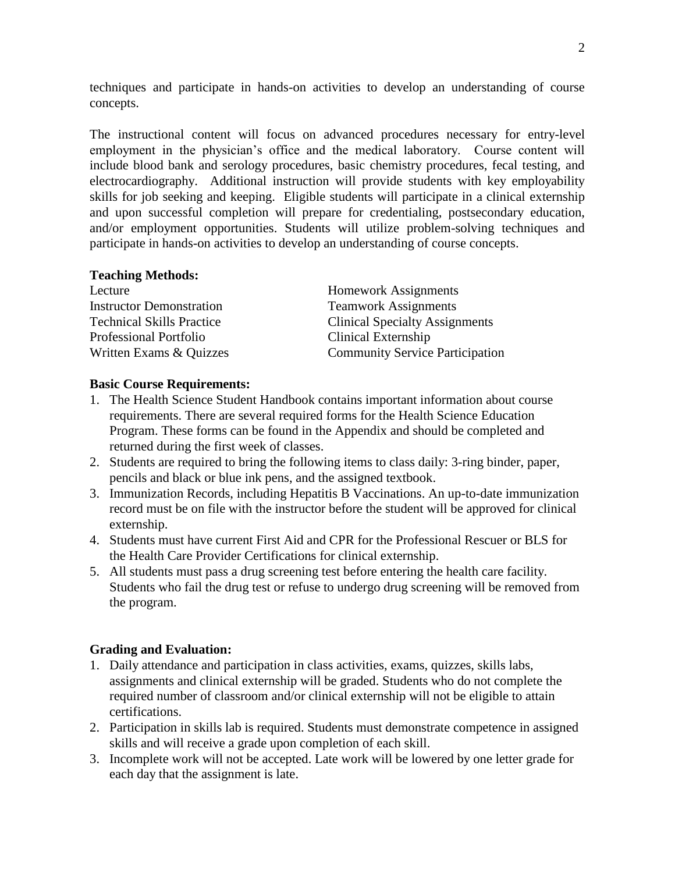techniques and participate in hands-on activities to develop an understanding of course concepts.

The instructional content will focus on advanced procedures necessary for entry-level employment in the physician's office and the medical laboratory. Course content will include blood bank and serology procedures, basic chemistry procedures, fecal testing, and electrocardiography. Additional instruction will provide students with key employability skills for job seeking and keeping. Eligible students will participate in a clinical externship and upon successful completion will prepare for credentialing, postsecondary education, and/or employment opportunities. Students will utilize problem-solving techniques and participate in hands-on activities to develop an understanding of course concepts.

#### **Teaching Methods:**

Lecture Homework Assignments Instructor Demonstration Teamwork Assignments Technical Skills Practice Clinical Specialty Assignments Professional Portfolio Clinical Externship Written Exams & Quizzes Community Service Participation

#### **Basic Course Requirements:**

- 1. The Health Science Student Handbook contains important information about course requirements. There are several required forms for the Health Science Education Program. These forms can be found in the Appendix and should be completed and returned during the first week of classes.
- 2. Students are required to bring the following items to class daily: 3-ring binder, paper, pencils and black or blue ink pens, and the assigned textbook.
- 3. Immunization Records, including Hepatitis B Vaccinations. An up-to-date immunization record must be on file with the instructor before the student will be approved for clinical externship.
- 4. Students must have current First Aid and CPR for the Professional Rescuer or BLS for the Health Care Provider Certifications for clinical externship.
- 5. All students must pass a drug screening test before entering the health care facility. Students who fail the drug test or refuse to undergo drug screening will be removed from the program.

#### **Grading and Evaluation:**

- 1. Daily attendance and participation in class activities, exams, quizzes, skills labs, assignments and clinical externship will be graded. Students who do not complete the required number of classroom and/or clinical externship will not be eligible to attain certifications.
- 2. Participation in skills lab is required. Students must demonstrate competence in assigned skills and will receive a grade upon completion of each skill.
- 3. Incomplete work will not be accepted. Late work will be lowered by one letter grade for each day that the assignment is late.